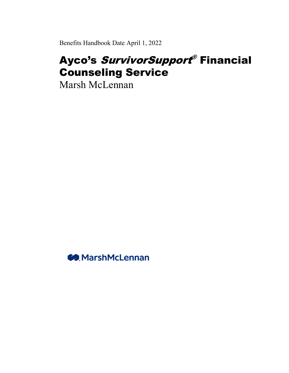Benefits Handbook Date April 1, 2022

# Ayco's SurvivorSupport® Financial Counseling Service

Marsh McLennan

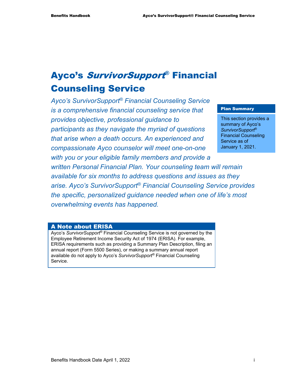# **Ayco's SurvivorSupport® Financial** Counseling Service

*Ayco's SurvivorSupport® Financial Counseling Service is a comprehensive financial counseling service that provides objective, professional guidance to participants as they navigate the myriad of questions that arise when a death occurs. An experienced and compassionate Ayco counselor will meet one-on-one* 

#### Plan Summary

This section provides a summary of Ayco's *SurvivorSupport*® Financial Counseling Service as of January 1, 2021.

*with you or your eligible family members and provide a written Personal Financial Plan. Your counseling team will remain available for six months to address questions and issues as they arise. Ayco's SurvivorSupport® Financial Counseling Service provides the specific, personalized guidance needed when one of life's most overwhelming events has happened.* 

#### A Note about ERISA

Ayco's *SurvivorSupport®* Financial Counseling Service is not governed by the Employee Retirement Income Security Act of 1974 (ERISA). For example, ERISA requirements such as providing a Summary Plan Description, filing an annual report (Form 5500 Series), or making a summary annual report available do not apply to Ayco's *SurvivorSupport®* Financial Counseling Service.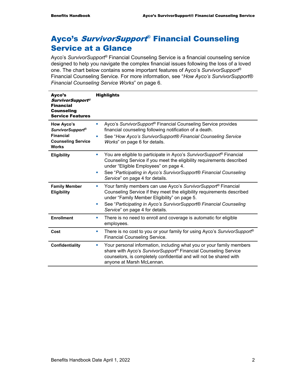# **Ayco's SurvivorSupport® Financial Counseling** Service at a Glance

Ayco's *SurvivorSupport®* Financial Counseling Service is a financial counseling service designed to help you navigate the complex financial issues following the loss of a loved one. The chart below contains some important features of Ayco's *SurvivorSupport®* Financial Counseling Service. For more information, see "*How Ayco's SurvivorSupport® Financial Counseling Service Works*" on page 6.

| Ayco's<br><b>SurvivorSupport®</b><br><b>Financial</b><br><b>Counseling</b><br><b>Service Features</b>         | <b>Highlights</b>                                                                                                                                                                                                                                                                                                       |
|---------------------------------------------------------------------------------------------------------------|-------------------------------------------------------------------------------------------------------------------------------------------------------------------------------------------------------------------------------------------------------------------------------------------------------------------------|
| <b>How Ayco's</b><br><b>SurvivorSupport®</b><br><b>Financial</b><br><b>Counseling Service</b><br><b>Works</b> | Ayco's SurvivorSupport® Financial Counseling Service provides<br>$\blacksquare$<br>financial counseling following notification of a death.<br>See "How Ayco's SurvivorSupport® Financial Counseling Service<br>×<br>Works" on page 6 for details.                                                                       |
| <b>Eligibility</b>                                                                                            | You are eligible to participate in Ayco's SurvivorSupport <sup>®</sup> Financial<br>×<br>Counseling Service if you meet the eligibility requirements described<br>under "Eligible Employees" on page 4.<br>See "Participating in Ayco's SurvivorSupport® Financial Counseling<br>×<br>Service" on page 4 for details.   |
| <b>Family Member</b><br><b>Eligibility</b>                                                                    | Your family members can use Ayco's SurvivorSupport <sup>®</sup> Financial<br>a.<br>Counseling Service if they meet the eligibility requirements described<br>under "Family Member Eligibility" on page 5.<br>See "Participating in Ayco's SurvivorSupport® Financial Counseling<br>×<br>Service" on page 4 for details. |
| <b>Enrollment</b>                                                                                             | There is no need to enroll and coverage is automatic for eligible<br>×<br>employees.                                                                                                                                                                                                                                    |
| Cost                                                                                                          | There is no cost to you or your family for using Ayco's SurvivorSupport <sup>®</sup><br>ш<br><b>Financial Counseling Service.</b>                                                                                                                                                                                       |
| Confidentiality                                                                                               | Your personal information, including what you or your family members<br>ш<br>share with Ayco's SurvivorSupport <sup>®</sup> Financial Counseling Service<br>counselors, is completely confidential and will not be shared with<br>anyone at Marsh McLennan.                                                             |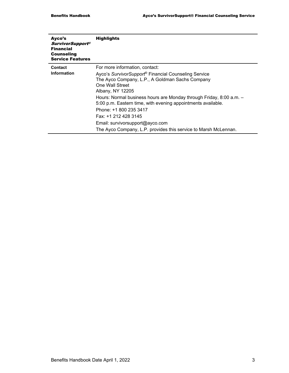| Ayco's<br><b>SurvivorSupport®</b><br><b>Financial</b><br><b>Counseling</b><br><b>Service Features</b> | <b>Highlights</b>                                                                                                                   |
|-------------------------------------------------------------------------------------------------------|-------------------------------------------------------------------------------------------------------------------------------------|
| <b>Contact</b>                                                                                        | For more information, contact:                                                                                                      |
| <b>Information</b>                                                                                    | Ayco's SurvivorSupport <sup>®</sup> Financial Counseling Service                                                                    |
|                                                                                                       | The Ayco Company, L.P., A Goldman Sachs Company                                                                                     |
|                                                                                                       | One Wall Street                                                                                                                     |
|                                                                                                       | Albany, NY 12205                                                                                                                    |
|                                                                                                       | Hours: Normal business hours are Monday through Friday, 8:00 a.m. -<br>5:00 p.m. Eastern time, with evening appointments available. |
|                                                                                                       | Phone: +1 800 235 3417                                                                                                              |
|                                                                                                       | Fax: +1 212 428 3145                                                                                                                |
|                                                                                                       | Email: survivorsupport@ayco.com                                                                                                     |
|                                                                                                       | The Ayco Company, L.P. provides this service to Marsh McLennan.                                                                     |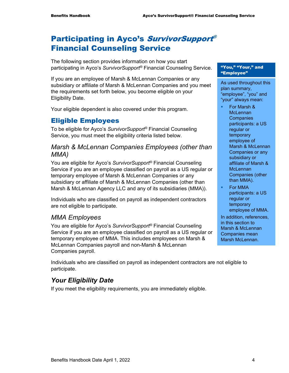# Participating in Ayco's SurvivorSupport® Financial Counseling Service

The following section provides information on how you start participating in Ayco's *SurvivorSupport®* Financial Counseling Service.

If you are an employee of Marsh & McLennan Companies or any subsidiary or affiliate of Marsh & McLennan Companies and you meet the requirements set forth below, you become eligible on your Eligibility Date.

Your eligible dependent is also covered under this program.

### Eligible Employees

To be eligible for Ayco's *SurvivorSupport®* Financial Counseling Service, you must meet the eligibility criteria listed below.

#### *Marsh & McLennan Companies Employees (other than MMA)*

You are eligible for Ayco's *SurvivorSupport®* Financial Counseling Service if you are an employee classified on payroll as a US regular or temporary employee of Marsh & McLennan Companies or any subsidiary or affiliate of Marsh & McLennan Companies (other than Marsh & McLennan Agency LLC and any of its subsidiaries (MMA)).

Individuals who are classified on payroll as independent contractors are not eligible to participate.

#### *MMA Employees*

You are eligible for Ayco's *SurvivorSupport®* Financial Counseling Service if you are an employee classified on payroll as a US regular or temporary employee of MMA. This includes employees on Marsh & McLennan Companies payroll and non-Marsh & McLennan Companies payroll.

"You," "Your," and "Employee"

As used throughout this plan summary, "employee", "you" and "your" always mean:

- For Marsh & McLennan **Companies** participants: a US regular or temporary employee of Marsh & McLennan Companies or any subsidiary or affiliate of Marsh & **McLennan** Companies (other than MMA).
- **For MMA** participants: a US regular or temporary employee of MMA.

In addition, references, in this section to Marsh & McLennan Companies mean Marsh McLennan.

Individuals who are classified on payroll as independent contractors are not eligible to participate.

# *Your Eligibility Date*

If you meet the eligibility requirements, you are immediately eligible.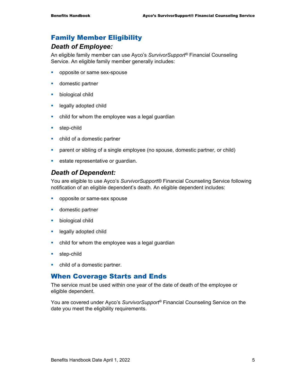## Family Member Eligibility

### *Death of Employee:*

An eligible family member can use Ayco's *SurvivorSupport®* Financial Counseling Service. An eligible family member generally includes:

- **p** opposite or same sex-spouse
- **domestic partner**
- **•** biological child
- **Example 2** legally adopted child
- child for whom the employee was a legal guardian
- **step-child**
- child of a domestic partner
- parent or sibling of a single employee (no spouse, domestic partner, or child)
- **EXEC** representative or guardian.

#### *Death of Dependent:*

You are eligible to use Ayco's *SurvivorSupport®* Financial Counseling Service following notification of an eligible dependent's death. An eligible dependent includes:

- **•** opposite or same-sex spouse
- **domestic partner**
- **biological child**
- **E** legally adopted child
- child for whom the employee was a legal guardian
- **step-child**
- child of a domestic partner.

#### When Coverage Starts and Ends

The service must be used within one year of the date of death of the employee or eligible dependent.

You are covered under Ayco's *SurvivorSupport®* Financial Counseling Service on the date you meet the eligibility requirements.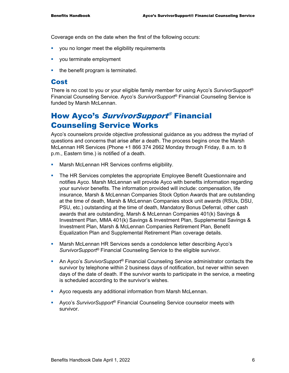Coverage ends on the date when the first of the following occurs:

- **v** you no longer meet the eligibility requirements
- vou terminate employment
- $\blacksquare$  the benefit program is terminated.

#### Cost

There is no cost to you or your eligible family member for using Ayco's *SurvivorSupport®* Financial Counseling Service. Ayco's *SurvivorSupport®* Financial Counseling Service is funded by Marsh McLennan.

# How Ayco's SurvivorSupport® Financial Counseling Service Works

Ayco's counselors provide objective professional guidance as you address the myriad of questions and concerns that arise after a death. The process begins once the Marsh McLennan HR Services (Phone +1 866 374 2662 Monday through Friday, 8 a.m. to 8 p.m., Eastern time.) is notified of a death.

- **Marsh McLennan HR Services confirms eligibility.**
- **The HR Services completes the appropriate Employee Benefit Questionnaire and** notifies Ayco. Marsh McLennan will provide Ayco with benefits information regarding your survivor benefits. The information provided will include: compensation, life insurance, Marsh & McLennan Companies Stock Option Awards that are outstanding at the time of death, Marsh & McLennan Companies stock unit awards (RSUs, DSU, PSU, etc.) outstanding at the time of death, Mandatory Bonus Deferral, other cash awards that are outstanding, Marsh & McLennan Companies 401(k) Savings & Investment Plan, MMA 401(k) Savings & Investment Plan, Supplemental Savings & Investment Plan, Marsh & McLennan Companies Retirement Plan, Benefit Equalization Plan and Supplemental Retirement Plan coverage details.
- Marsh McLennan HR Services sends a condolence letter describing Ayco's *SurvivorSupport®* Financial Counseling Service to the eligible survivor.
- An Ayco's *SurvivorSupport<sup>®</sup>* Financial Counseling Service administrator contacts the survivor by telephone within 2 business days of notification, but never within seven days of the date of death. If the survivor wants to participate in the service, a meeting is scheduled according to the survivor's wishes.
- Ayco requests any additional information from Marsh McLennan.
- Ayco's SurvivorSupport<sup>®</sup> Financial Counseling Service counselor meets with survivor.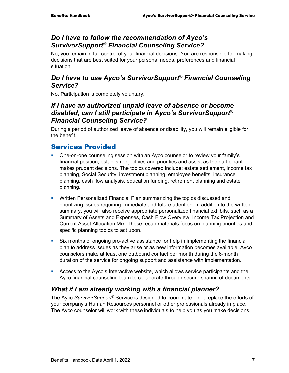# *Do I have to follow the recommendation of Ayco's SurvivorSupport® Financial Counseling Service?*

No, you remain in full control of your financial decisions. You are responsible for making decisions that are best suited for your personal needs, preferences and financial situation.

## *Do I have to use Ayco's SurvivorSupport® Financial Counseling Service?*

No. Participation is completely voluntary.

### *If I have an authorized unpaid leave of absence or become disabled, can I still participate in Ayco's SurvivorSupport® Financial Counseling Service?*

During a period of authorized leave of absence or disability, you will remain eligible for the benefit.

# Services Provided

- One-on-one counseling session with an Ayco counselor to review your family's financial position, establish objectives and priorities and assist as the participant makes prudent decisions. The topics covered include: estate settlement, income tax planning, Social Security, investment planning, employee benefits, insurance planning, cash flow analysis, education funding, retirement planning and estate planning.
- Written Personalized Financial Plan summarizing the topics discussed and prioritizing issues requiring immediate and future attention. In addition to the written summary, you will also receive appropriate personalized financial exhibits, such as a Summary of Assets and Expenses, Cash Flow Overview, Income Tax Projection and Current Asset Allocation Mix. These recap materials focus on planning priorities and specific planning topics to act upon.
- Six months of ongoing pro-active assistance for help in implementing the financial plan to address issues as they arise or as new information becomes available. Ayco counselors make at least one outbound contact per month during the 6-month duration of the service for ongoing support and assistance with implementation.
- Access to the Ayco's Interactive website, which allows service participants and the Ayco financial counseling team to collaborate through secure sharing of documents.

# *What if I am already working with a financial planner?*

The Ayco *SurvivorSupport*® Service is designed to coordinate – not replace the efforts of your company's Human Resources personnel or other professionals already in place. The Ayco counselor will work with these individuals to help you as you make decisions.